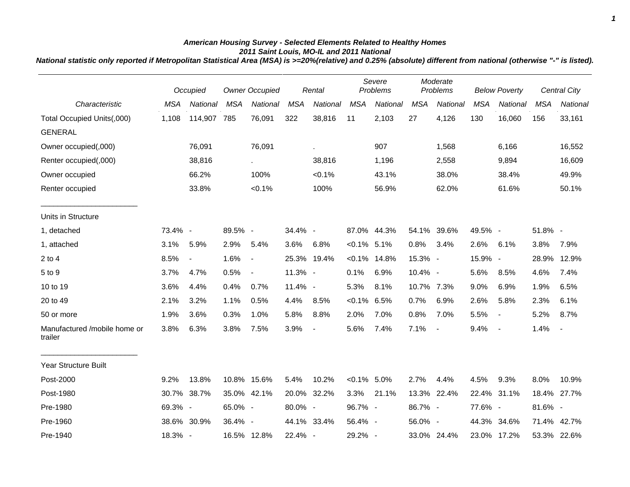## *American Housing Survey - Selected Elements Related to Healthy Homes 2011 Saint Louis, MO-IL and 2011 National*

*National statistic only reported if Metropolitan Statistical Area (MSA) is >=20%(relative) and 0.25% (absolute) different from national (otherwise "-" is listed).*

|                                         |            | Occupied       |            | <b>Owner Occupied</b>    | Rental     |                          | Severe<br>Problems |                 | Moderate<br>Problems |                          | <b>Below Poverty</b> |                          | <b>Central City</b> |                |
|-----------------------------------------|------------|----------------|------------|--------------------------|------------|--------------------------|--------------------|-----------------|----------------------|--------------------------|----------------------|--------------------------|---------------------|----------------|
| Characteristic                          | <b>MSA</b> | National       | <b>MSA</b> | National                 | <b>MSA</b> | National                 | <b>MSA</b>         | <b>National</b> | <b>MSA</b>           | National                 | <b>MSA</b>           | National                 | <b>MSA</b>          | National       |
| Total Occupied Units(,000)              | 1,108      | 114,907        | 785        | 76,091                   | 322        | 38,816                   | 11                 | 2,103           | 27                   | 4,126                    | 130                  | 16,060                   | 156                 | 33,161         |
| <b>GENERAL</b>                          |            |                |            |                          |            |                          |                    |                 |                      |                          |                      |                          |                     |                |
| Owner occupied(,000)                    |            | 76,091         |            | 76,091                   |            | ×.                       |                    | 907             |                      | 1,568                    |                      | 6,166                    |                     | 16,552         |
| Renter occupied(,000)                   |            | 38,816         |            | $\sim$                   |            | 38,816                   |                    | 1,196           |                      | 2,558                    |                      | 9,894                    |                     | 16,609         |
| Owner occupied                          |            | 66.2%          |            | 100%                     |            | < 0.1%                   |                    | 43.1%           |                      | 38.0%                    |                      | 38.4%                    |                     | 49.9%          |
| Renter occupied                         |            | 33.8%          |            | < 0.1%                   |            | 100%                     |                    | 56.9%           |                      | 62.0%                    |                      | 61.6%                    |                     | 50.1%          |
| Units in Structure                      |            |                |            |                          |            |                          |                    |                 |                      |                          |                      |                          |                     |                |
| 1, detached                             | 73.4% -    |                | 89.5% -    |                          | 34.4% -    |                          |                    | 87.0% 44.3%     |                      | 54.1% 39.6%              | 49.5% -              |                          | 51.8% -             |                |
| 1, attached                             | 3.1%       | 5.9%           | 2.9%       | 5.4%                     | 3.6%       | 6.8%                     | $< 0.1\%$ 5.1%     |                 | 0.8%                 | 3.4%                     | 2.6%                 | 6.1%                     | 3.8%                | 7.9%           |
| $2$ to $4$                              | 8.5%       | $\blacksquare$ | 1.6%       | $\overline{\phantom{a}}$ |            | 25.3% 19.4%              |                    | $< 0.1\%$ 14.8% | 15.3% -              |                          | 15.9% -              |                          | 28.9%               | 12.9%          |
| 5 to 9                                  | 3.7%       | 4.7%           | 0.5%       | $\blacksquare$           | 11.3% -    |                          | 0.1%               | 6.9%            | 10.4% -              |                          | 5.6%                 | 8.5%                     | 4.6%                | 7.4%           |
| 10 to 19                                | 3.6%       | 4.4%           | 0.4%       | 0.7%                     | 11.4% -    |                          | 5.3%               | 8.1%            | 10.7% 7.3%           |                          | 9.0%                 | 6.9%                     | 1.9%                | 6.5%           |
| 20 to 49                                | 2.1%       | 3.2%           | 1.1%       | 0.5%                     | 4.4%       | 8.5%                     | $< 0.1\%$ 6.5%     |                 | 0.7%                 | 6.9%                     | 2.6%                 | 5.8%                     | 2.3%                | 6.1%           |
| 50 or more                              | 1.9%       | 3.6%           | 0.3%       | 1.0%                     | 5.8%       | 8.8%                     | 2.0%               | 7.0%            | 0.8%                 | 7.0%                     | 5.5%                 | $\overline{\phantom{a}}$ | 5.2%                | 8.7%           |
| Manufactured /mobile home or<br>trailer | 3.8%       | 6.3%           | 3.8%       | 7.5%                     | 3.9%       | $\overline{\phantom{a}}$ | 5.6%               | 7.4%            | 7.1%                 | $\overline{\phantom{a}}$ | 9.4%                 | $\blacksquare$           | 1.4%                | $\blacksquare$ |
| Year Structure Built                    |            |                |            |                          |            |                          |                    |                 |                      |                          |                      |                          |                     |                |
| Post-2000                               | 9.2%       | 13.8%          |            | 10.8% 15.6%              | 5.4%       | 10.2%                    | $< 0.1\%$ 5.0%     |                 | 2.7%                 | 4.4%                     | 4.5%                 | 9.3%                     | 8.0%                | 10.9%          |
| Post-1980                               | 30.7%      | 38.7%          |            | 35.0% 42.1%              |            | 20.0% 32.2%              | 3.3%               | 21.1%           |                      | 13.3% 22.4%              |                      | 22.4% 31.1%              | 18.4%               | 27.7%          |
| Pre-1980                                | 69.3% -    |                | 65.0% -    |                          | 80.0% -    |                          | 96.7% -            |                 | 86.7% -              |                          | 77.6% -              |                          | 81.6% -             |                |
| Pre-1960                                |            | 38.6% 30.9%    | 36.4% -    |                          |            | 44.1% 33.4%              | 56.4% -            |                 | 56.0% -              |                          |                      | 44.3% 34.6%              | 71.4% 42.7%         |                |
| Pre-1940                                | 18.3% -    |                |            | 16.5% 12.8%              | 22.4% -    |                          | 29.2% -            |                 |                      | 33.0% 24.4%              |                      | 23.0% 17.2%              | 53.3% 22.6%         |                |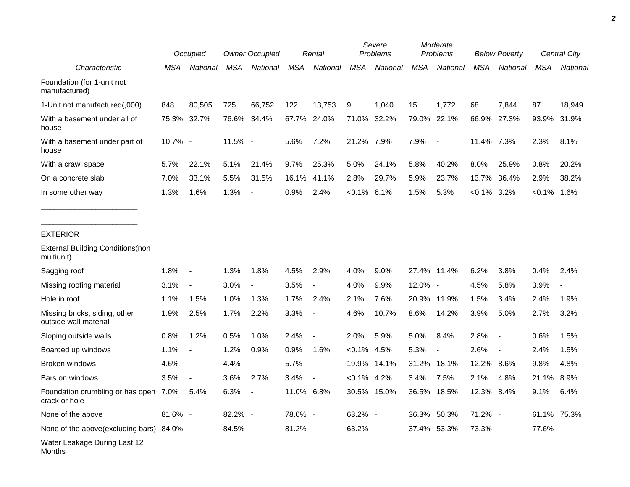|                                                        | Occupied   |                          | <b>Owner Occupied</b> |                          | Rental     |                          | Severe<br>Problems |             | Moderate<br>Problems |                | <b>Below Poverty</b> |                          | Central City |                          |
|--------------------------------------------------------|------------|--------------------------|-----------------------|--------------------------|------------|--------------------------|--------------------|-------------|----------------------|----------------|----------------------|--------------------------|--------------|--------------------------|
| Characteristic                                         | <b>MSA</b> | National                 | <b>MSA</b>            | National                 | <b>MSA</b> | National                 | <b>MSA</b>         | National    | <b>MSA</b>           | National       | <b>MSA</b>           | National                 | <b>MSA</b>   | National                 |
| Foundation (for 1-unit not<br>manufactured)            |            |                          |                       |                          |            |                          |                    |             |                      |                |                      |                          |              |                          |
| 1-Unit not manufactured(,000)                          | 848        | 80,505                   | 725                   | 66,752                   | 122        | 13,753                   | 9                  | 1,040       | 15                   | 1,772          | 68                   | 7,844                    | 87           | 18,949                   |
| With a basement under all of<br>house                  | 75.3%      | 32.7%                    |                       | 76.6% 34.4%              |            | 67.7% 24.0%              | 71.0%              | 32.2%       | 79.0%                | 22.1%          | 66.9%                | 27.3%                    | 93.9%        | 31.9%                    |
| With a basement under part of<br>house                 | 10.7% -    |                          | 11.5% -               |                          | 5.6%       | 7.2%                     | 21.2% 7.9%         |             | 7.9%                 | $\blacksquare$ | 11.4% 7.3%           |                          | 2.3%         | 8.1%                     |
| With a crawl space                                     | 5.7%       | 22.1%                    | 5.1%                  | 21.4%                    | 9.7%       | 25.3%                    | 5.0%               | 24.1%       | 5.8%                 | 40.2%          | 8.0%                 | 25.9%                    | 0.8%         | 20.2%                    |
| On a concrete slab                                     | 7.0%       | 33.1%                    | 5.5%                  | 31.5%                    | 16.1%      | 41.1%                    | 2.8%               | 29.7%       | 5.9%                 | 23.7%          | 13.7%                | 36.4%                    | 2.9%         | 38.2%                    |
| In some other way                                      | 1.3%       | 1.6%                     | 1.3%                  | $\overline{\phantom{a}}$ | 0.9%       | 2.4%                     | $< 0.1\%$          | 6.1%        | 1.5%                 | 5.3%           | $< 0.1\%$            | 3.2%                     | $< 0.1\%$    | 1.6%                     |
| <b>EXTERIOR</b>                                        |            |                          |                       |                          |            |                          |                    |             |                      |                |                      |                          |              |                          |
| <b>External Building Conditions (non</b><br>multiunit) |            |                          |                       |                          |            |                          |                    |             |                      |                |                      |                          |              |                          |
| Sagging roof                                           | 1.8%       | $\overline{\phantom{a}}$ | 1.3%                  | 1.8%                     | 4.5%       | 2.9%                     | 4.0%               | 9.0%        |                      | 27.4% 11.4%    | 6.2%                 | 3.8%                     | 0.4%         | 2.4%                     |
| Missing roofing material                               | 3.1%       | $\blacksquare$           | 3.0%                  | $\overline{\phantom{a}}$ | 3.5%       | $\blacksquare$           | 4.0%               | 9.9%        | 12.0% -              |                | 4.5%                 | 5.8%                     | 3.9%         | $\overline{\phantom{a}}$ |
| Hole in roof                                           | 1.1%       | 1.5%                     | 1.0%                  | 1.3%                     | 1.7%       | 2.4%                     | 2.1%               | 7.6%        | 20.9%                | 11.9%          | 1.5%                 | 3.4%                     | 2.4%         | 1.9%                     |
| Missing bricks, siding, other<br>outside wall material | 1.9%       | 2.5%                     | 1.7%                  | 2.2%                     | 3.3%       |                          | 4.6%               | 10.7%       | 8.6%                 | 14.2%          | 3.9%                 | 5.0%                     | 2.7%         | 3.2%                     |
| Sloping outside walls                                  | 0.8%       | 1.2%                     | 0.5%                  | 1.0%                     | 2.4%       | $\overline{\phantom{a}}$ | 2.0%               | 5.9%        | 5.0%                 | 8.4%           | 2.8%                 | $\blacksquare$           | 0.6%         | 1.5%                     |
| Boarded up windows                                     | 1.1%       | $\overline{\phantom{a}}$ | 1.2%                  | 0.9%                     | 0.9%       | 1.6%                     | $< 0.1\%$          | 4.5%        | 5.3%                 |                | 2.6%                 | $\overline{\phantom{a}}$ | 2.4%         | 1.5%                     |
| Broken windows                                         | 4.6%       | $\blacksquare$           | 4.4%                  | $\blacksquare$           | 5.7%       | $\overline{\phantom{a}}$ | 19.9%              | 14.1%       | 31.2%                | 18.1%          | 12.2%                | 8.6%                     | 9.8%         | 4.8%                     |
| Bars on windows                                        | 3.5%       |                          | 3.6%                  | 2.7%                     | 3.4%       |                          | $< 0.1\%$          | 4.2%        | 3.4%                 | 7.5%           | 2.1%                 | 4.8%                     | 21.1%        | 8.9%                     |
| Foundation crumbling or has open 7.0%<br>crack or hole |            | $5.4\%$                  | 6.3%                  |                          | 11.0% 6.8% |                          |                    | 30.5% 15.0% |                      | 36.5% 18.5%    | 12.3% 8.4%           |                          | 9.1%         | 6.4%                     |
| None of the above                                      | 81.6% -    |                          | 82.2% -               |                          | 78.0% -    |                          | 63.2% -            |             |                      | 36.3% 50.3%    | 71.2% -              |                          |              | 61.1% 75.3%              |
| None of the above(excluding bars) 84.0% -              |            |                          | 84.5% -               |                          | $81.2\% -$ |                          | 63.2% -            |             |                      | 37.4% 53.3%    | 73.3% -              |                          | 77.6% -      |                          |
| Water Leakage During Last 12<br>Months                 |            |                          |                       |                          |            |                          |                    |             |                      |                |                      |                          |              |                          |

*2*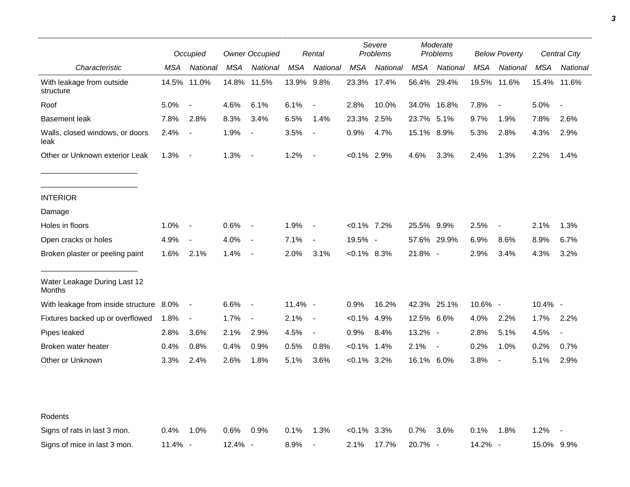|                                         |         | Occupied                 |            | <b>Owner Occupied</b>    |            | Rental                   |                | Severe<br>Problems |             | Moderate<br>Problems |            | <b>Below Poverty</b>     |            | Central City             |
|-----------------------------------------|---------|--------------------------|------------|--------------------------|------------|--------------------------|----------------|--------------------|-------------|----------------------|------------|--------------------------|------------|--------------------------|
| Characteristic                          | MSA     | National                 | <b>MSA</b> | National                 | MSA        | National                 | <b>MSA</b>     | National           | MSA         | National             | <b>MSA</b> | National                 | MSA        | National                 |
| With leakage from outside<br>structure  | 14.5%   | 11.0%                    |            | 14.8% 11.5%              | 13.9% 9.8% |                          |                | 23.3% 17.4%        |             | 56.4% 29.4%          | 19.5%      | 11.6%                    |            | 15.4% 11.6%              |
| Roof                                    | 5.0%    | $\overline{\phantom{a}}$ | 4.6%       | 6.1%                     | 6.1%       | $\overline{\phantom{a}}$ | 2.8%           | 10.0%              |             | 34.0% 16.8%          | 7.8%       | $\overline{\phantom{a}}$ | 5.0%       | $\overline{\phantom{a}}$ |
| <b>Basement leak</b>                    | 7.8%    | 2.8%                     | 8.3%       | 3.4%                     | 6.5%       | 1.4%                     | 23.3%          | 2.5%               | 23.7% 5.1%  |                      | 9.7%       | 1.9%                     | 7.8%       | 2.6%                     |
| Walls, closed windows, or doors<br>leak | 2.4%    | $\overline{\phantom{a}}$ | 1.9%       | $\overline{\phantom{a}}$ | 3.5%       | $\blacksquare$           | 0.9%           | 4.7%               | 15.1% 8.9%  |                      | 5.3%       | 2.8%                     | 4.3%       | 2.9%                     |
| Other or Unknown exterior Leak          | 1.3%    | $\overline{\phantom{a}}$ | 1.3%       | $\overline{a}$           | 1.2%       | $\overline{\phantom{a}}$ | $< 0.1\%$ 2.9% |                    | 4.6%        | 3.3%                 | 2.4%       | 1.3%                     | 2.2%       | 1.4%                     |
| <b>INTERIOR</b>                         |         |                          |            |                          |            |                          |                |                    |             |                      |            |                          |            |                          |
| Damage                                  |         |                          |            |                          |            |                          |                |                    |             |                      |            |                          |            |                          |
| Holes in floors                         | 1.0%    | $\overline{\phantom{a}}$ | 0.6%       | $\overline{\phantom{a}}$ | 1.9%       | $\overline{\phantom{a}}$ | $< 0.1\%$ 7.2% |                    | 25.5% 9.9%  |                      | 2.5%       | $\blacksquare$           | 2.1%       | 1.3%                     |
| Open cracks or holes                    | 4.9%    | $\blacksquare$           | 4.0%       | $\overline{\phantom{a}}$ | 7.1%       | $\blacksquare$           | 19.5% -        |                    |             | 57.6% 29.9%          | 6.9%       | 8.6%                     | 8.9%       | 6.7%                     |
| Broken plaster or peeling paint         | 1.6%    | 2.1%                     | 1.4%       | $\overline{\phantom{a}}$ | 2.0%       | 3.1%                     | $< 0.1\%$ 8.3% |                    | 21.8% -     |                      | 2.9%       | 3.4%                     | 4.3%       | 3.2%                     |
| Water Leakage During Last 12<br>Months  |         |                          |            |                          |            |                          |                |                    |             |                      |            |                          |            |                          |
| With leakage from inside structure 8.0% |         | $\overline{\phantom{a}}$ | 6.6%       | $\overline{\phantom{a}}$ | 11.4% -    |                          | 0.9%           | 16.2%              | 42.3% 25.1% |                      | 10.6% -    |                          | $10.4\%$ - |                          |
| Fixtures backed up or overflowed        | 1.8%    | $\overline{\phantom{a}}$ | 1.7%       | $\blacksquare$           | 2.1%       | $\overline{\phantom{a}}$ | $< 0.1\%$      | 4.9%               | 12.5% 6.6%  |                      | 4.0%       | 2.2%                     | 1.7%       | 2.2%                     |
| Pipes leaked                            | 2.8%    | 3.6%                     | 2.1%       | 2.9%                     | 4.5%       | $\blacksquare$           | 0.9%           | 8.4%               | 13.2% -     |                      | 2.8%       | 5.1%                     | 4.5%       | $\overline{\phantom{a}}$ |
| Broken water heater                     | 0.4%    | 0.8%                     | 0.4%       | 0.9%                     | 0.5%       | 0.8%                     | $< 0.1\%$      | 1.4%               | 2.1%        | $\blacksquare$       | 0.2%       | 1.0%                     | 0.2%       | 0.7%                     |
| Other or Unknown                        | 3.3%    | 2.4%                     | 2.6%       | 1.8%                     | 5.1%       | 3.6%                     | $<0.1\%$ 3.2%  |                    | 16.1% 6.0%  |                      | 3.8%       | $\blacksquare$           | 5.1%       | 2.9%                     |
|                                         |         |                          |            |                          |            |                          |                |                    |             |                      |            |                          |            |                          |
| Rodents                                 |         |                          |            |                          |            |                          |                |                    |             |                      |            |                          |            |                          |
| Signs of rats in last 3 mon.            | $0.4\%$ | $1.0\%$                  | 0.6%       | 0.9%                     | 0.1%       | 1.3%                     | <0.1%          | 3.3%               | 0.7%        | 3.6%                 | 0.1%       | 1.8%                     | 1.2%       |                          |
| Signs of mice in last 3 mon.            | 11.4% - |                          | 12.4% -    |                          | 8.9%       |                          | 2.1%           | 17.7%              | 20.7% -     |                      | 14.2% -    |                          | 15.0% 9.9% |                          |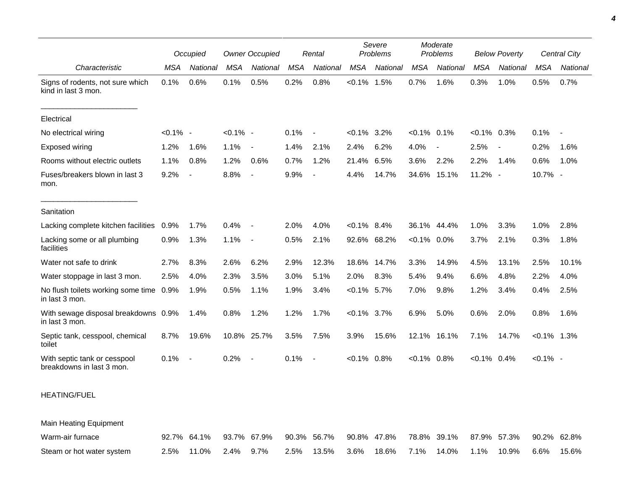|                                                           |             | Occupied                 |             | <b>Owner Occupied</b>    |            | Rental                   |                | Severe<br>Problems |                | Moderate<br>Problems |                | <b>Below Poverty</b>     |                | Central City   |
|-----------------------------------------------------------|-------------|--------------------------|-------------|--------------------------|------------|--------------------------|----------------|--------------------|----------------|----------------------|----------------|--------------------------|----------------|----------------|
| Characteristic                                            | <b>MSA</b>  | National                 | <b>MSA</b>  | National                 | <b>MSA</b> | National                 | MSA            | National           | <b>MSA</b>     | National             | <b>MSA</b>     | National                 | <b>MSA</b>     | National       |
| Signs of rodents, not sure which<br>kind in last 3 mon.   | 0.1%        | 0.6%                     | 0.1%        | 0.5%                     | 0.2%       | 0.8%                     | $< 0.1\%$      | 1.5%               | 0.7%           | 1.6%                 | 0.3%           | 1.0%                     | 0.5%           | 0.7%           |
| Electrical                                                |             |                          |             |                          |            |                          |                |                    |                |                      |                |                          |                |                |
| No electrical wiring                                      | $< 0.1\%$ - |                          | $< 0.1\%$ - |                          | 0.1%       | $\blacksquare$           | $< 0.1\%$ 3.2% |                    | $< 0.1\%$ 0.1% |                      | $<0.1\%$ 0.3%  |                          | 0.1%           | $\blacksquare$ |
| Exposed wiring                                            | 1.2%        | 1.6%                     | 1.1%        | $\overline{\phantom{a}}$ | 1.4%       | 2.1%                     | 2.4%           | 6.2%               | 4.0%           |                      | 2.5%           | $\overline{\phantom{a}}$ | 0.2%           | 1.6%           |
| Rooms without electric outlets                            | 1.1%        | 0.8%                     | 1.2%        | 0.6%                     | 0.7%       | 1.2%                     | 21.4%          | 6.5%               | 3.6%           | 2.2%                 | 2.2%           | 1.4%                     | 0.6%           | 1.0%           |
| Fuses/breakers blown in last 3<br>mon.                    | 9.2%        | $\overline{\phantom{a}}$ | 8.8%        | $\overline{\phantom{a}}$ | 9.9%       |                          | 4.4%           | 14.7%              | 34.6%          | 15.1%                | 11.2% -        |                          | 10.7% -        |                |
| Sanitation                                                |             |                          |             |                          |            |                          |                |                    |                |                      |                |                          |                |                |
| Lacking complete kitchen facilities                       | 0.9%        | 1.7%                     | 0.4%        | $\overline{\phantom{a}}$ | 2.0%       | 4.0%                     | $< 0.1\%$ 8.4% |                    |                | 36.1% 44.4%          | 1.0%           | 3.3%                     | 1.0%           | 2.8%           |
| Lacking some or all plumbing<br>facilities                | 0.9%        | 1.3%                     | 1.1%        | $\sim$                   | 0.5%       | 2.1%                     |                | 92.6% 68.2%        | $< 0.1\%$ 0.0% |                      | 3.7%           | 2.1%                     | 0.3%           | 1.8%           |
| Water not safe to drink                                   | 2.7%        | 8.3%                     | 2.6%        | 6.2%                     | 2.9%       | 12.3%                    |                | 18.6% 14.7%        | 3.3%           | 14.9%                | 4.5%           | 13.1%                    | 2.5%           | 10.1%          |
| Water stoppage in last 3 mon.                             | 2.5%        | 4.0%                     | 2.3%        | 3.5%                     | 3.0%       | 5.1%                     | 2.0%           | 8.3%               | 5.4%           | 9.4%                 | 6.6%           | 4.8%                     | 2.2%           | 4.0%           |
| No flush toilets working some time 0.9%<br>in last 3 mon. |             | 1.9%                     | 0.5%        | 1.1%                     | 1.9%       | 3.4%                     | $< 0.1\%$      | 5.7%               | 7.0%           | 9.8%                 | 1.2%           | 3.4%                     | 0.4%           | 2.5%           |
| With sewage disposal breakdowns 0.9%<br>in last 3 mon.    |             | 1.4%                     | 0.8%        | 1.2%                     | 1.2%       | 1.7%                     | $< 0.1\%$ 3.7% |                    | 6.9%           | 5.0%                 | 0.6%           | 2.0%                     | 0.8%           | 1.6%           |
| Septic tank, cesspool, chemical<br>toilet                 | 8.7%        | 19.6%                    | 10.8%       | 25.7%                    | 3.5%       | 7.5%                     | 3.9%           | 15.6%              | 12.1%          | 16.1%                | 7.1%           | 14.7%                    | $< 0.1\%$ 1.3% |                |
| With septic tank or cesspool<br>breakdowns in last 3 mon. | 0.1%        | $\overline{\phantom{a}}$ | 0.2%        | $\sim$                   | 0.1%       | $\overline{\phantom{a}}$ | $< 0.1\%$ 0.8% |                    | $< 0.1\%$ 0.8% |                      | $< 0.1\%$ 0.4% |                          | $< 0.1\%$ -    |                |
| <b>HEATING/FUEL</b>                                       |             |                          |             |                          |            |                          |                |                    |                |                      |                |                          |                |                |

Main Heating Equipment

| Warm-air furnace          |                      | 92.7% 64.1% 93.7% 67.9% 90.3% 56.7% 90.8% 47.8% 78.8% 39.1% 87.9% 57.3% 90.2% 62.8% |  |                                                           |  |  |  |
|---------------------------|----------------------|-------------------------------------------------------------------------------------|--|-----------------------------------------------------------|--|--|--|
| Steam or hot water system | 2.5% 11.0% 2.4% 9.7% |                                                                                     |  | $2.5\%$ 13.5% 3.6% 18.6% 7.1% 14.0% 1.1% 10.9% 6.6% 15.6% |  |  |  |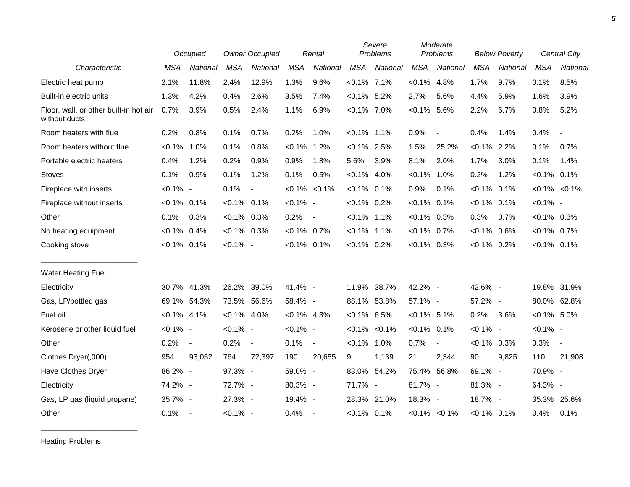|                                                         |                | Occupied                 |                | <b>Owner Occupied</b>    |                | Rental                   |                   | Severe<br>Problems |                | Moderate<br>Problems     |                | <b>Below Poverty</b> |                | Central City             |
|---------------------------------------------------------|----------------|--------------------------|----------------|--------------------------|----------------|--------------------------|-------------------|--------------------|----------------|--------------------------|----------------|----------------------|----------------|--------------------------|
| Characteristic                                          | <b>MSA</b>     | National                 | <b>MSA</b>     | National                 | <b>MSA</b>     | National                 | <b>MSA</b>        | National           | <b>MSA</b>     | National                 | <b>MSA</b>     | National             | <b>MSA</b>     | <b>National</b>          |
| Electric heat pump                                      | 2.1%           | 11.8%                    | 2.4%           | 12.9%                    | 1.3%           | 9.6%                     | $< 0.1\%$ 7.1%    |                    | $< 0.1\%$      | 4.8%                     | 1.7%           | 9.7%                 | 0.1%           | 8.5%                     |
| Built-in electric units                                 | 1.3%           | 4.2%                     | 0.4%           | 2.6%                     | 3.5%           | 7.4%                     | $< 0.1\%$ 5.2%    |                    | 2.7%           | 5.6%                     | 4.4%           | 5.9%                 | 1.6%           | 3.9%                     |
| Floor, wall, or other built-in hot air<br>without ducts | 0.7%           | 3.9%                     | 0.5%           | 2.4%                     | 1.1%           | 6.9%                     | $< 0.1\%$ 7.0%    |                    | $< 0.1\%$      | 5.6%                     | 2.2%           | 6.7%                 | 0.8%           | 5.2%                     |
| Room heaters with flue                                  | 0.2%           | 0.8%                     | 0.1%           | 0.7%                     | 0.2%           | 1.0%                     | $< 0.1\%$ 1.1%    |                    | 0.9%           | $\overline{\phantom{a}}$ | 0.4%           | 1.4%                 | 0.4%           | $\overline{\phantom{a}}$ |
| Room heaters without flue                               | $< 0.1\%$ 1.0% |                          | 0.1%           | 0.8%                     | $< 0.1\%$      | 1.2%                     | $< 0.1\%$ 2.5%    |                    | 1.5%           | 25.2%                    | $< 0.1\%$ 2.2% |                      | 0.1%           | 0.7%                     |
| Portable electric heaters                               | 0.4%           | 1.2%                     | 0.2%           | 0.9%                     | 0.9%           | 1.8%                     | 5.6%              | 3.9%               | 8.1%           | 2.0%                     | 1.7%           | 3.0%                 | 0.1%           | 1.4%                     |
| <b>Stoves</b>                                           | 0.1%           | 0.9%                     | 0.1%           | 1.2%                     | 0.1%           | 0.5%                     | $< 0.1\%$ 4.0%    |                    | $< 0.1\%$      | 1.0%                     | 0.2%           | 1.2%                 | $< 0.1\%$ 0.1% |                          |
| Fireplace with inserts                                  | $< 0.1\%$ -    |                          | 0.1%           | $\blacksquare$           |                | $< 0.1\%$ $< 0.1\%$      | $< 0.1\%$ 0.1%    |                    | 0.9%           | 0.1%                     | $< 0.1\%$      | 0.1%                 |                | $< 0.1\% < 0.1\%$        |
| Fireplace without inserts                               | $< 0.1\%$      | 0.1%                     | $< 0.1\%$ 0.1% |                          | $< 0.1\%$ -    |                          | $< 0.1\%$ 0.2%    |                    | $< 0.1\%$      | 0.1%                     | $< 0.1\%$ 0.1% |                      | $< 0.1\%$ -    |                          |
| Other                                                   | 0.1%           | 0.3%                     | $< 0.1\%$ 0.3% |                          | 0.2%           | $\blacksquare$           | $< 0.1\%$ 1.1%    |                    | $< 0.1\%$ 0.3% |                          | 0.3%           | 0.7%                 | $< 0.1\%$ 0.3% |                          |
| No heating equipment                                    | $< 0.1\%$      | 0.4%                     | $< 0.1\%$ 0.3% |                          | $< 0.1\%$ 0.7% |                          | $< 0.1\%$ 1.1%    |                    | $< 0.1\%$ 0.7% |                          | $< 0.1\%$ 0.6% |                      | $< 0.1\%$ 0.7% |                          |
| Cooking stove                                           | $< 0.1\%$ 0.1% |                          | $< 0.1\%$ -    |                          | $< 0.1\%$ 0.1% |                          | $< 0.1\%$ 0.2%    |                    | $<0.1\%$ 0.3%  |                          | $< 0.1\%$ 0.2% |                      | $< 0.1\%$ 0.1% |                          |
| Water Heating Fuel                                      |                |                          |                |                          |                |                          |                   |                    |                |                          |                |                      |                |                          |
| Electricity                                             | 30.7%          | 41.3%                    | 26.2%          | 39.0%                    | 41.4% -        |                          | 11.9%             | 38.7%              | 42.2% -        |                          | 42.6% -        |                      |                | 19.8% 31.9%              |
| Gas, LP/bottled gas                                     | 69.1%          | 54.3%                    | 73.5% 56.6%    |                          | 58.4% -        |                          | 88.1% 53.8%       |                    | 57.1% -        |                          | 57.2% -        |                      |                | 80.0% 62.8%              |
| Fuel oil                                                | $< 0.1\%$ 4.1% |                          | $< 0.1\%$ 4.0% |                          | $< 0.1\%$ 4.3% |                          | $< 0.1\%$ 6.5%    |                    | $< 0.1\%$ 5.1% |                          | 0.2%           | 3.6%                 | $< 0.1\%$ 5.0% |                          |
| Kerosene or other liquid fuel                           | $< 0.1\%$ -    |                          | $< 0.1\%$ -    |                          | $< 0.1\%$ -    |                          | $< 0.1\% < 0.1\%$ |                    | $< 0.1\%$ 0.1% |                          | $< 0.1\%$ -    |                      | $< 0.1\%$ -    |                          |
| Other                                                   | 0.2%           | $\blacksquare$           | 0.2%           | $\overline{\phantom{a}}$ | 0.1%           | $\blacksquare$           | $< 0.1\%$ 1.0%    |                    | 0.7%           | $\blacksquare$           | $< 0.1\%$ 0.3% |                      | 0.3%           | $\overline{\phantom{a}}$ |
| Clothes Dryer(,000)                                     | 954            | 93,052                   | 764            | 72,397                   | 190            | 20,655                   | 9                 | 1,139              | 21             | 2,344                    | 90             | 9,825                | 110            | 21,908                   |
| Have Clothes Dryer                                      | 86.2% -        |                          | 97.3% -        |                          | 59.0% -        |                          | 83.0% 54.2%       |                    | 75.4%          | 56.8%                    | 69.1% -        |                      | 70.9% -        |                          |
| Electricity                                             | 74.2% -        |                          | 72.7% -        |                          | 80.3% -        |                          | 71.7% -           |                    | 81.7% -        |                          | 81.3% -        |                      | 64.3% -        |                          |
| Gas, LP gas (liquid propane)                            | 25.7% -        |                          | 27.3% -        |                          | 19.4% -        |                          |                   | 28.3% 21.0%        | 18.3% -        |                          | 18.7% -        |                      | 35.3%          | 25.6%                    |
| Other                                                   | 0.1%           | $\overline{\phantom{a}}$ | $< 0.1\%$ -    |                          | 0.4%           | $\overline{\phantom{a}}$ | $< 0.1\%$ 0.1%    |                    |                | $< 0.1\%$ $< 0.1\%$      | $< 0.1\%$ 0.1% |                      | 0.4%           | 0.1%                     |

Heating Problems

\_\_\_\_\_\_\_\_\_\_\_\_\_\_\_\_\_\_\_\_\_\_\_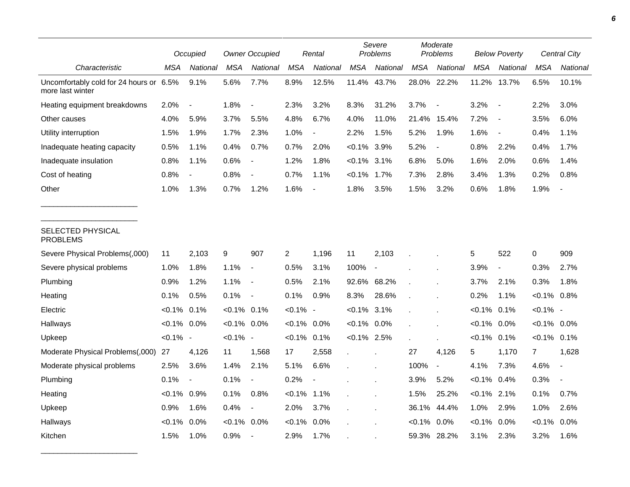|                                                             |                | <b>Owner Occupied</b><br>Occupied |                |                          | Rental         |                          | Severe<br>Problems |                          | Moderate<br>Problems |                          | <b>Below Poverty</b> |                          | <b>Central City</b> |          |
|-------------------------------------------------------------|----------------|-----------------------------------|----------------|--------------------------|----------------|--------------------------|--------------------|--------------------------|----------------------|--------------------------|----------------------|--------------------------|---------------------|----------|
| Characteristic                                              | MSA            | National                          | MSA            | National                 | <b>MSA</b>     | National                 | <b>MSA</b>         | National                 | MSA                  | National                 | MSA                  | <b>National</b>          | MSA                 | National |
| Uncomfortably cold for 24 hours or 6.5%<br>more last winter |                | 9.1%                              | 5.6%           | 7.7%                     | 8.9%           | 12.5%                    | 11.4%              | 43.7%                    | 28.0%                | 22.2%                    | 11.2%                | 13.7%                    | 6.5%                | 10.1%    |
| Heating equipment breakdowns                                | 2.0%           |                                   | 1.8%           |                          | 2.3%           | 3.2%                     | 8.3%               | 31.2%                    | 3.7%                 |                          | 3.2%                 | $\overline{\phantom{a}}$ | 2.2%                | 3.0%     |
| Other causes                                                | 4.0%           | 5.9%                              | 3.7%           | 5.5%                     | 4.8%           | 6.7%                     | 4.0%               | 11.0%                    | 21.4%                | 15.4%                    | 7.2%                 | $\overline{\phantom{a}}$ | 3.5%                | 6.0%     |
| Utility interruption                                        | 1.5%           | 1.9%                              | 1.7%           | 2.3%                     | 1.0%           | $\blacksquare$           | 2.2%               | 1.5%                     | 5.2%                 | 1.9%                     | 1.6%                 | $\overline{\phantom{a}}$ | 0.4%                | 1.1%     |
| Inadequate heating capacity                                 | 0.5%           | 1.1%                              | 0.4%           | 0.7%                     | 0.7%           | 2.0%                     | $< 0.1\%$ 3.9%     |                          | 5.2%                 | $\overline{\phantom{a}}$ | 0.8%                 | 2.2%                     | 0.4%                | 1.7%     |
| Inadequate insulation                                       | 0.8%           | 1.1%                              | 0.6%           | $\overline{\phantom{a}}$ | 1.2%           | 1.8%                     | $< 0.1\%$ 3.1%     |                          | 6.8%                 | 5.0%                     | 1.6%                 | 2.0%                     | 0.6%                | 1.4%     |
| Cost of heating                                             | 0.8%           |                                   | 0.8%           |                          | 0.7%           | 1.1%                     | $< 0.1\%$          | 1.7%                     | 7.3%                 | 2.8%                     | 3.4%                 | 1.3%                     | 0.2%                | 0.8%     |
| Other                                                       | 1.0%           | 1.3%                              | 0.7%           | 1.2%                     | 1.6%           | $\overline{\phantom{a}}$ | 1.8%               | 3.5%                     | 1.5%                 | 3.2%                     | 0.6%                 | 1.8%                     | 1.9%                |          |
| SELECTED PHYSICAL<br><b>PROBLEMS</b>                        |                |                                   |                |                          |                |                          |                    |                          |                      |                          |                      |                          |                     |          |
| Severe Physical Problems(,000)                              | 11             | 2,103                             | 9              | 907                      | $\overline{2}$ | 1,196                    | 11                 | 2,103                    |                      |                          | 5                    | 522                      | $\pmb{0}$           | 909      |
| Severe physical problems                                    | 1.0%           | 1.8%                              | 1.1%           | $\blacksquare$           | 0.5%           | 3.1%                     | 100%               | $\overline{\phantom{a}}$ |                      |                          | 3.9%                 | $\overline{\phantom{a}}$ | 0.3%                | 2.7%     |
| Plumbing                                                    | 0.9%           | 1.2%                              | 1.1%           | $\blacksquare$           | 0.5%           | 2.1%                     | 92.6% 68.2%        |                          |                      |                          | 3.7%                 | 2.1%                     | 0.3%                | 1.8%     |
| Heating                                                     | 0.1%           | 0.5%                              | 0.1%           | $\overline{\phantom{a}}$ | 0.1%           | 0.9%                     | 8.3%               | 28.6%                    |                      |                          | 0.2%                 | 1.1%                     | $< 0.1\%$ 0.8%      |          |
| Electric                                                    | $< 0.1\%$ 0.1% |                                   | $< 0.1\%$ 0.1% |                          | $< 0.1\%$ -    |                          | $< 0.1\%$ 3.1%     |                          |                      |                          | $< 0.1\%$            | 0.1%                     | $< 0.1\%$ -         |          |
| Hallways                                                    | $< 0.1\%$      | $0.0\%$                           | $< 0.1\%$ 0.0% |                          | $< 0.1\%$      | $0.0\%$                  | $< 0.1\%$ 0.0%     |                          |                      |                          | $< 0.1\%$            | 0.0%                     | $< 0.1\%$ 0.0%      |          |
| Upkeep                                                      | $< 0.1\%$ -    |                                   | $< 0.1\%$ -    |                          | $< 0.1\%$      | 0.1%                     | $< 0.1\%$ 2.5%     |                          |                      |                          | $< 0.1\%$            | 0.1%                     | $< 0.1\%$ 0.1%      |          |
| Moderate Physical Problems(,000)                            | 27             | 4,126                             | 11             | 1,568                    | 17             | 2,558                    | $\mathbf{r}$       |                          | 27                   | 4,126                    | 5                    | 1,170                    | $\overline{7}$      | 1,628    |
| Moderate physical problems                                  | 2.5%           | 3.6%                              | 1.4%           | 2.1%                     | 5.1%           | 6.6%                     |                    |                          | 100%                 | $\blacksquare$           | 4.1%                 | 7.3%                     | 4.6%                |          |
| Plumbing                                                    | 0.1%           | $\overline{\phantom{a}}$          | 0.1%           | $\blacksquare$           | 0.2%           |                          |                    |                          | 3.9%                 | 5.2%                     | $< 0.1\%$ 0.4%       |                          | 0.3%                |          |
| Heating                                                     | $< 0.1\%$ 0.9% |                                   | 0.1%           | 0.8%                     | $< 0.1\%$      | 1.1%                     |                    |                          | 1.5%                 | 25.2%                    | $< 0.1\%$ 2.1%       |                          | 0.1%                | 0.7%     |
| Upkeep                                                      | 0.9%           | 1.6%                              | 0.4%           | $\blacksquare$           | 2.0%           | 3.7%                     |                    |                          | 36.1%                | 44.4%                    | 1.0%                 | 2.9%                     | 1.0%                | 2.6%     |
| Hallways                                                    | $< 0.1\%$      | 0.0%                              | $< 0.1\%$      | 0.0%                     | $< 0.1\%$      | 0.0%                     |                    |                          | $< 0.1\%$            | 0.0%                     | $< 0.1\%$            | $0.0\%$                  | $< 0.1\%$           | 0.0%     |
| Kitchen                                                     | 1.5%           | 1.0%                              | 0.9%           |                          | 2.9%           | 1.7%                     |                    |                          | 59.3%                | 28.2%                    | 3.1%                 | 2.3%                     | 3.2%                | 1.6%     |

\_\_\_\_\_\_\_\_\_\_\_\_\_\_\_\_\_\_\_\_\_\_\_